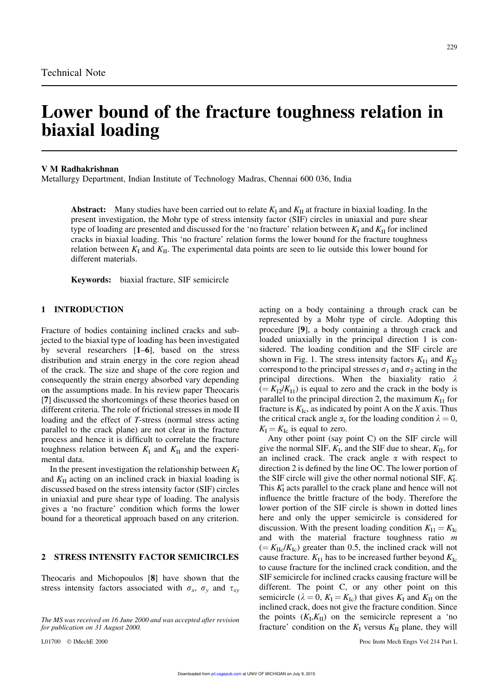# **Lower bound of the fracture toughness relation in biaxial loading**

#### **V M Radhakrishnan**

Metallurgy Department, Indian Institute of Technology Madras, Chennai 600 036, India

**Abstract:** Many studies have been carried out to relate  $K_I$  and  $K_{II}$  at fracture in biaxial loading. In the present investigation, the Mohr type of stress intensity factor (SIF) circles in uniaxial and pure shear type of loading are presented and discussed for the 'no fracture' relation between  $K_I$  and  $K_{II}$  for inclined cracks in biaxial loading. This 'no fracture' relation forms the lower bound for the fracture toughness relation between  $K_I$  and  $K_{II}$ . The experimental data points are seen to lie outside this lower bound for different materials.

**Keywords:** biaxial fracture, SIF semicircle

#### **1 INTRODUCTION**

Fracture of bodies containing inclined cracks and subjected to the biaxial type of loading has been investigated by several researchers [**1**–**6**], based on the stress distribution and strain energy in the core region ahead of the crack. The size and shape of the core region and consequently the strain energy absorbed vary depending on the assumptions made. In his review paper Theocaris [**7**] discussed the shortcomings of these theories based on different criteria. The role of frictional stresses in mode II loading and the effect of *T*-stress (normal stress acting parallel to the crack plane) are not clear in the fracture process and hence it is difficult to correlate the fracture toughness relation between  $K_I$  and  $K_{II}$  and the experimental data.

In the present investigation the relationship between  $K<sub>I</sub>$ and  $K<sub>II</sub>$  acting on an inclined crack in biaxial loading is discussed based on the stress intensity factor (SIF) circles in uniaxial and pure shear type of loading. The analysis gives a 'no fracture' condition which forms the lower bound for a theoretical approach based on any criterion.

# **2 STRESS INTENSITY FACTOR SEMICIRCLES**

Theocaris and Michopoulos [**8**] have shown that the stress intensity factors associated with  $\sigma_x$ ,  $\sigma_y$  and  $\tau_{xy}$ 

acting on a body containing a through crack can be represented by a Mohr type of circle. Adopting this procedure [**9**], a body containing a through crack and loaded uniaxially in the principal direction 1 is considered. The loading condition and the SIF circle are shown in Fig. 1. The stress intensity factors  $K_{11}$  and  $K_{12}$ correspond to the principal stresses  $\sigma_1$  and  $\sigma_2$  acting in the principal directions. When the biaxiality ratio  $\lambda$  $( = K_{12}/K_{11})$  is equal to zero and the crack in the body is parallel to the principal direction 2, the maximum  $K_{I1}$  for fracture is  $K_{\text{Ic}}$ , as indicated by point A on the *X* axis. Thus the critical crack angle  $\alpha_c$  for the loading condition  $\lambda = 0$ ,  $K_{\rm I} = K_{\rm Ic}$  is equal to zero.

Any other point (say point C) on the SIF circle will give the normal SIF, *K*<sup>I</sup> , and the SIF due to shear, *K*II, for an inclined crack. The crack angle  $\alpha$  with respect to direction 2 is defined by the line OC. The lower portion of the SIF circle will give the other normal notional SIF, *K* I . This  $K_I'$  acts parallel to the crack plane and hence will not influence the brittle fracture of the body. Therefore the lower portion of the SIF circle is shown in dotted lines here and only the upper semicircle is considered for discussion. With the present loading condition  $K_{\text{I}} = K_{\text{Ic}}$ and with the material fracture toughness ratio *m*  $( = K_{\text{IIc}}/K_{\text{Ic}})$  greater than 0.5, the inclined crack will not cause fracture.  $K_{\text{I1}}$  has to be increased further beyond  $K_{\text{Ic}}$ to cause fracture for the inclined crack condition, and the SIF semicircle for inclined cracks causing fracture will be different. The point C, or any other point on this semicircle ( $\lambda = 0$ ,  $K_{I} = K_{Ic}$ ) that gives  $K_{I}$  and  $K_{II}$  on the inclined crack, does not give the fracture condition. Since the points  $(K_I, K_{II})$  on the semicircle represent a 'no fracture' condition on the  $K_I$  versus  $K_{II}$  plane, they will

*The MS was received on 16 June 2000 and was accepted after revision for publication on 31 August 2000.*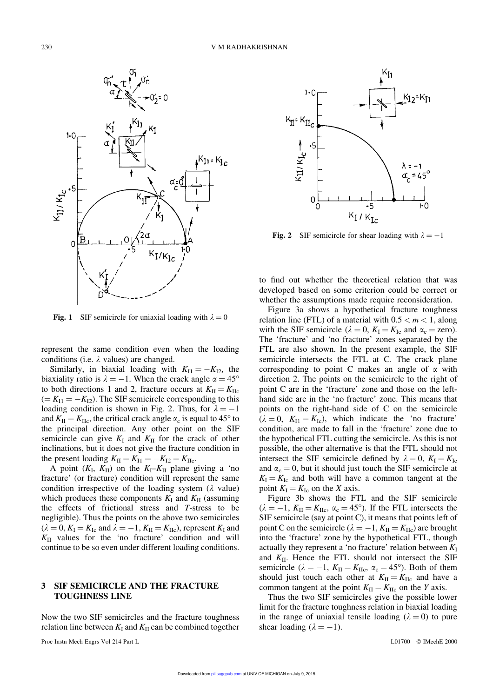

**Fig. 1** SIF semicircle for uniaxial loading with  $\lambda = 0$ 

represent the same condition even when the loading conditions (i.e.  $\lambda$  values) are changed.

Similarly, in biaxial loading with  $K_{I1} = -K_{I2}$ , the biaxiality ratio is  $\lambda = -1$ . When the crack angle  $\alpha = 45^{\circ}$ to both directions 1 and 2, fracture occurs at  $K_{\text{II}} = K_{\text{IIc}}$  $(= K_{I1} = -K_{I2})$ . The SIF semicircle corresponding to this loading condition is shown in Fig. 2. Thus, for  $\lambda = -1$ and  $K_{\text{II}} = K_{\text{IIc}}$ , the critical crack angle  $\alpha_{\text{c}}$  is equal to 45° to the principal direction. Any other point on the SIF semicircle can give  $K_I$  and  $K_{II}$  for the crack of other inclinations, but it does not give the fracture condition in the present loading  $K_{\text{II}} = K_{\text{II}} = -K_{\text{I2}} = K_{\text{IIc}}$ .

A point  $(K_I, K_{II})$  on the  $K_I - K_{II}$  plane giving a 'no fracture' (or fracture) condition will represent the same condition irrespective of the loading system  $(\lambda$  value) which produces these components  $K_I$  and  $K_{II}$  (assuming the effects of frictional stress and *T*-stress to be negligible). Thus the points on the above two semicircles  $(\lambda = 0, K_{\text{I}} = K_{\text{Ic}} \text{ and } \lambda = -1, K_{\text{II}} = K_{\text{Ifc}})$ , represent  $K_{\text{I}}$  and *K*II values for the 'no fracture' condition and will continue to be so even under different loading conditions.

### **3 SIF SEMICIRCLE AND THE FRACTURE TOUGHNESS LINE**

Now the two SIF semicircles and the fracture toughness relation line between  $K_I$  and  $K_{II}$  can be combined together

Proc Instn Mech Engrs Vol 214 Part L and L01700 C IMechE 2000



Fig. 2 SIF semicircle for shear loading with  $\lambda = -1$ 

to find out whether the theoretical relation that was developed based on some criterion could be correct or whether the assumptions made require reconsideration.

Figure 3a shows a hypothetical fracture toughness relation line (FTL) of a material with  $0.5 < m < 1$ , along with the SIF semicircle ( $\lambda = 0$ ,  $K_{\text{I}} = K_{\text{Ic}}$  and  $\alpha_{\text{c}} =$  zero). The 'fracture' and 'no fracture' zones separated by the FTL are also shown. In the present example, the SIF semicircle intersects the FTL at C. The crack plane corresponding to point C makes an angle of  $\alpha$  with direction 2. The points on the semicircle to the right of point C are in the 'fracture' zone and those on the lefthand side are in the 'no fracture' zone. This means that points on the right-hand side of C on the semicircle  $(\lambda = 0, K_{\text{I}} = K_{\text{Ic}})$ , which indicate the 'no fracture' condition, are made to fall in the 'fracture' zone due to the hypothetical FTL cutting the semicircle. As this is not possible, the other alternative is that the FTL should not intersect the SIF semicircle defined by  $\lambda = 0$ ,  $K_{I} = K_{Ic}$ and  $\alpha_c = 0$ , but it should just touch the SIF semicircle at  $K_I = K_{Ic}$  and both will have a common tangent at the point  $K_{\rm I} = K_{\rm Ic}$  on the *X* axis.

Figure 3b shows the FTL and the SIF semicircle  $(\lambda = -1, K_{\text{II}} = K_{\text{IIc}}, \alpha_{\text{c}} = 45^{\circ})$ . If the FTL intersects the SIF semicircle (say at point C), it means that points left of point C on the semicircle ( $\lambda = -1$ ,  $K_{\text{II}} = K_{\text{IIc}}$ ) are brought into the 'fracture' zone by the hypothetical FTL, though actually they represent a 'no fracture' relation between  $K_I$ and  $K_{\text{II}}$ . Hence the FTL should not intersect the SIF semicircle ( $\lambda = -1$ ,  $K_{\text{II}} = K_{\text{IIc}}$ ,  $\alpha_{\text{c}} = 45^{\circ}$ ). Both of them should just touch each other at  $K_{\text{II}} = K_{\text{IIc}}$  and have a common tangent at the point  $K_{II} = K_{IIc}$  on the *Y* axis.

Thus the two SIF semicircles give the possible lower limit for the fracture toughness relation in biaxial loading in the range of uniaxial tensile loading ( $\lambda = 0$ ) to pure shear loading  $(\lambda = -1)$ .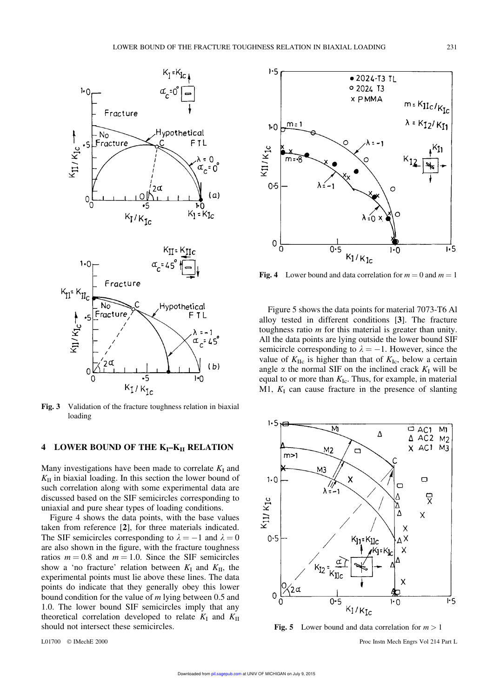

**Fig. 3** Validation of the fracture toughness relation in biaxial loading

# **4 LOWER BOUND OF THE KI–KII RELATION**

Many investigations have been made to correlate  $K_I$  and  $K_{II}$  in biaxial loading. In this section the lower bound of such correlation along with some experimental data are discussed based on the SIF semicircles corresponding to uniaxial and pure shear types of loading conditions.

Figure 4 shows the data points, with the base values taken from reference [**2**], for three materials indicated. The SIF semicircles corresponding to  $\lambda = -1$  and  $\lambda = 0$ are also shown in the figure, with the fracture toughness ratios  $m = 0.8$  and  $m = 1.0$ . Since the SIF semicircles show a 'no fracture' relation between  $K_I$  and  $K_{II}$ , the experimental points must lie above these lines. The data points do indicate that they generally obey this lower bound condition for the value of *m* lying between 0.5 and 1.0. The lower bound SIF semicircles imply that any theoretical correlation developed to relate  $K_I$  and  $K_{II}$ should not intersect these semicircles.



**Fig. 4** Lower bound and data correlation for  $m = 0$  and  $m = 1$ 

Figure 5 shows the data points for material 7073-T6 Al alloy tested in different conditions [**3**]. The fracture toughness ratio *m* for this material is greater than unity. All the data points are lying outside the lower bound SIF semicircle corresponding to  $\lambda = -1$ . However, since the value of  $K_{\text{IIc}}$  is higher than that of  $K_{\text{Ic}}$ , below a certain angle  $\alpha$  the normal SIF on the inclined crack  $K_I$  will be equal to or more than  $K_{\text{Ic}}$ . Thus, for example, in material M1,  $K_I$  can cause fracture in the presence of slanting



**Fig. 5** Lower bound and data correlation for  $m > 1$ 

L01700 IMechE 2000 Proc Instn Mech Engrs Vol 214 Part L